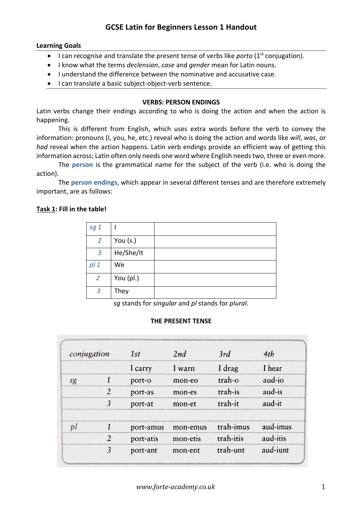### **Learning Goals**

- I can recognise and translate the present tense of verbs like *porto* (1<sup>st</sup> conjugation).
- I know what the terms *declension*, *case* and *gender* mean for Latin nouns.
- I understand the difference between the nominative and accusative case.
- I can translate a basic subject-object-verb sentence.

#### **VERBS: PERSON ENDINGS**

Latin verbs change their endings according to who is doing the action and when the action is happening.

This is different from English, which uses extra words before the verb to convey the information: pronouns (I, you, he, etc.) reveal who is doing the action and words like *will*, *was*, or *had* reveal when the action happens. Latin verb endings provide an efficient way of getting this information across; Latin often only needs one word where English needs two, three or even more.

The **person** is the grammatical name for the subject of the verb (i.e. who is doing the action).

The **person endings**, which appear in several different tenses and are therefore extremely important, are as follows:

### **Task 1: Fill in the table!**

| sg <sub>1</sub> |           |  |
|-----------------|-----------|--|
| $\overline{2}$  | You (s.)  |  |
| $\overline{3}$  | He/She/It |  |
| pl <sub>1</sub> | We        |  |
| $\overline{2}$  | You (pl.) |  |
| $\overline{3}$  | They      |  |

*sg* stands for *singular* and *pl* stands for *plural.*

#### **THE PRESENT TENSE**

| conjugation |                | 1st       | 2nd      | 3rd       | 4th      |
|-------------|----------------|-----------|----------|-----------|----------|
|             |                | I carry   | I warn   | I drag    | I hear   |
| sg          |                | port-o    | mon-eo   | trah-o    | aud-io   |
|             | 2              | port-as   | mon-es   | trah-is   | aud-is   |
|             | 3              | port-at   | mon-et   | trah-it   | aud-it   |
| рl          |                | port-amus | mon-emus | trah-imus | aud-imus |
|             | $\overline{2}$ | port-atis | mon-etis | trah-itis | aud-itis |
|             | 3              | port-ant  | mon-ent  | trah-unt  | aud-iunt |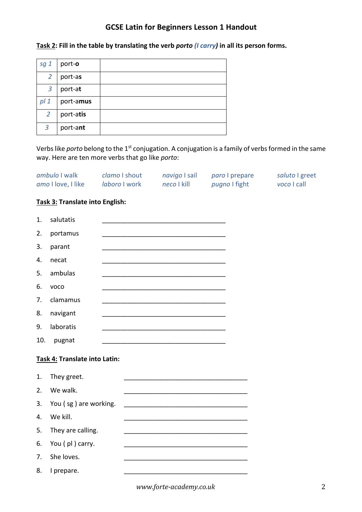| Task 2: Fill in the table by translating the verb porto (I carry) in all its person forms. |  |
|--------------------------------------------------------------------------------------------|--|
|--------------------------------------------------------------------------------------------|--|

| sg 1            | port-o    |  |
|-----------------|-----------|--|
| $\overline{2}$  | port-as   |  |
| 3               | port-at   |  |
| pl <sub>1</sub> | port-amus |  |
| $\overline{2}$  | port-atis |  |
| 3               | port-ant  |  |

Verbs like *porto* belong to the 1<sup>st</sup> conjugation. A conjugation is a family of verbs formed in the same way. Here are ten more verbs that go like *porto*:

| ambulo I walk      | clamo I shout | navigo I sail | paro I prepare | saluto I greet |
|--------------------|---------------|---------------|----------------|----------------|
| amo I love, I like | laboro I work | neco I kill   | pugno I fight  | voco I call    |

### **Task 3: Translate into English:**

| 1.  | salutatis                     |                                                            |  |
|-----|-------------------------------|------------------------------------------------------------|--|
| 2.  | portamus                      |                                                            |  |
| 3.  | parant                        |                                                            |  |
| 4.  | necat                         |                                                            |  |
| 5.  | ambulas                       |                                                            |  |
| 6.  | voco                          |                                                            |  |
| 7.  | clamamus                      |                                                            |  |
| 8.  | navigant                      |                                                            |  |
| 9.  | laboratis                     |                                                            |  |
| 10. | pugnat                        |                                                            |  |
|     | Task 4: Translate into Latin: |                                                            |  |
|     |                               |                                                            |  |
| 1.  | They greet.                   |                                                            |  |
| 2.  | We walk.                      |                                                            |  |
| 3.  | You (sg) are working.         | <u> 1980 - John Stein, Amerikaansk politiker (</u> † 1920) |  |
| 4.  | We kill.                      |                                                            |  |
| 5.  | They are calling.             |                                                            |  |
| 6.  | You (pl) carry.               |                                                            |  |
| 7.  | She loves.                    |                                                            |  |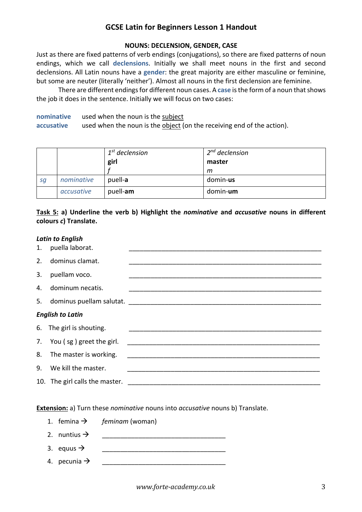### **NOUNS: DECLENSION, GENDER, CASE**

Just as there are fixed patterns of verb endings (conjugations), so there are fixed patterns of noun endings, which we call **declensions**. Initially we shall meet nouns in the first and second declensions. All Latin nouns have a **gender**: the great majority are either masculine or feminine, but some are neuter (literally 'neither'). Almost all nouns in the first declension are feminine.

There are different endings for different noun cases. A **case** is the form of a noun that shows the job it does in the sentence. Initially we will focus on two cases:

**nominative** used when the noun is the subject **accusative** used when the noun is the object (on the receiving end of the action).

|    |            | $1st$ declension | $2nd$ declension |
|----|------------|------------------|------------------|
|    |            | girl             | master           |
|    |            |                  | m                |
| sg | nominative | puell-a          | domin- <b>us</b> |
|    | accusative | puell-am         | domin- <b>um</b> |

### **Task 5: a) Underline the verb b) Highlight the** *nominative* **and** *accusative* **nouns in different colours** *c***) Translate.**

### *Latin to English*

| 1. | puella laborat.           |  |
|----|---------------------------|--|
| 2. | dominus clamat.           |  |
| 3. | puellam voco.             |  |
| 4. | dominum necatis.          |  |
|    |                           |  |
|    | <b>English to Latin</b>   |  |
|    | 6. The girl is shouting.  |  |
|    |                           |  |
|    | 8. The master is working. |  |
| 9. | We kill the master.       |  |
|    |                           |  |

**Extension:** a) Turn these *nominative* nouns into *accusative* nouns b) Translate.

- 1. femina  $\rightarrow$  *feminam* (woman)
- 2. nuntius  $\rightarrow$
- 3. equus  $\rightarrow$
- 4. pecunia  $\rightarrow$